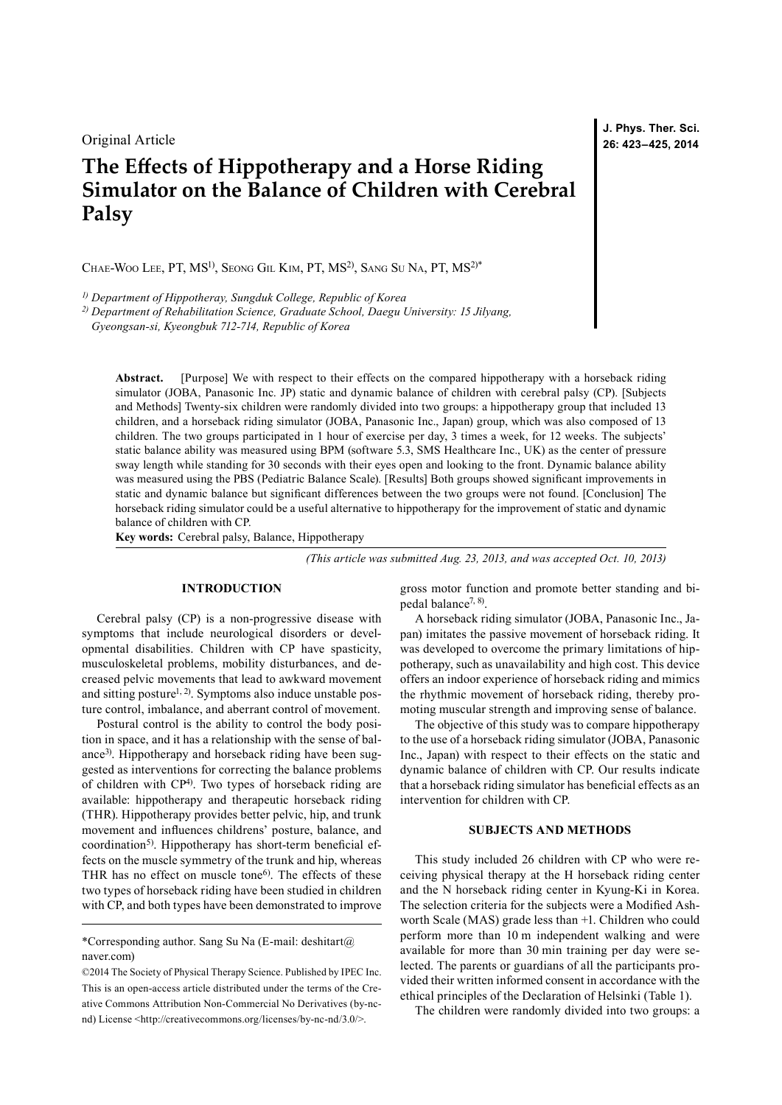Original Article

# **The Effects of Hippotherapy and a Horse Riding Simulator on the Balance of Children with Cerebral Palsy**

CHAE-WOO LEE, PT, MS<sup>1)</sup>, SEONG GIL KIM, PT, MS<sup>2)</sup>, SANG SU NA, PT, MS<sup>2)\*</sup>

*1) Department of Hippotheray, Sungduk College, Republic of Korea*

*2) Department of Rehabilitation Science, Graduate School, Daegu University: 15 Jilyang,* 

*Gyeongsan-si, Kyeongbuk 712-714, Republic of Korea*

**Abstract.** [Purpose] We with respect to their effects on the compared hippotherapy with a horseback riding simulator (JOBA, Panasonic Inc. JP) static and dynamic balance of children with cerebral palsy (CP). [Subjects and Methods] Twenty-six children were randomly divided into two groups: a hippotherapy group that included 13 children, and a horseback riding simulator (JOBA, Panasonic Inc., Japan) group, which was also composed of 13 children. The two groups participated in 1 hour of exercise per day, 3 times a week, for 12 weeks. The subjects' static balance ability was measured using BPM (software 5.3, SMS Healthcare Inc., UK) as the center of pressure sway length while standing for 30 seconds with their eyes open and looking to the front. Dynamic balance ability was measured using the PBS (Pediatric Balance Scale). [Results] Both groups showed significant improvements in static and dynamic balance but significant differences between the two groups were not found. [Conclusion] The horseback riding simulator could be a useful alternative to hippotherapy for the improvement of static and dynamic balance of children with CP.

**Key words:** Cerebral palsy, Balance, Hippotherapy

*(This article was submitted Aug. 23, 2013, and was accepted Oct. 10, 2013)*

### **INTRODUCTION**

Cerebral palsy (CP) is a non-progressive disease with symptoms that include neurological disorders or developmental disabilities. Children with CP have spasticity, musculoskeletal problems, mobility disturbances, and decreased pelvic movements that lead to awkward movement and sitting posture<sup>1, 2)</sup>. Symptoms also induce unstable posture control, imbalance, and aberrant control of movement.

Postural control is the ability to control the body position in space, and it has a relationship with the sense of balance<sup>3)</sup>. Hippotherapy and horseback riding have been suggested as interventions for correcting the balance problems of children with CP<sup>[4\)](#page-2-2)</sup>. Two types of horseback riding are available: hippotherapy and therapeutic horseback riding (THR). Hippotherapy provides better pelvic, hip, and trunk movement and influences childrens' posture, balance, and coordination<sup>[5\)](#page-2-3)</sup>. Hippotherapy has short-term beneficial effects on the muscle symmetry of the trunk and hip, whereas THR has no effect on muscle tone<sup>[6\)](#page-2-4)</sup>. The effects of these two types of horseback riding have been studied in children with CP, and both types have been demonstrated to improve

\*Corresponding author. Sang Su Na (E-mail: deshitart@ naver.com)

©2014 The Society of Physical Therapy Science. Published by IPEC Inc. This is an open-access article distributed under the terms of the Creative Commons Attribution Non-Commercial No Derivatives (by-ncnd) License [<http://creativecommons.org/licenses/by-nc-nd/3.0/>](http://creativecommons.org/licenses/by-nc-nd/3.0/).

gross motor function and promote better standing and bipedal balance<sup>7, 8)</sup>.

A horseback riding simulator (JOBA, Panasonic Inc., Japan) imitates the passive movement of horseback riding. It was developed to overcome the primary limitations of hippotherapy, such as unavailability and high cost. This device offers an indoor experience of horseback riding and mimics the rhythmic movement of horseback riding, thereby promoting muscular strength and improving sense of balance.

The objective of this study was to compare hippotherapy to the use of a horseback riding simulator (JOBA, Panasonic Inc., Japan) with respect to their effects on the static and dynamic balance of children with CP. Our results indicate that a horseback riding simulator has beneficial effects as an intervention for children with CP.

## **SUBJECTS AND METHODS**

This study included 26 children with CP who were receiving physical therapy at the H horseback riding center and the N horseback riding center in Kyung-Ki in Korea. The selection criteria for the subjects were a Modified Ashworth Scale (MAS) grade less than +1. Children who could perform more than 10 m independent walking and were available for more than 30 min training per day were selected. The parents or guardians of all the participants provided their written informed consent in accordance with the ethical principles of the Declaration of Helsinki (Table 1).

The children were randomly divided into two groups: a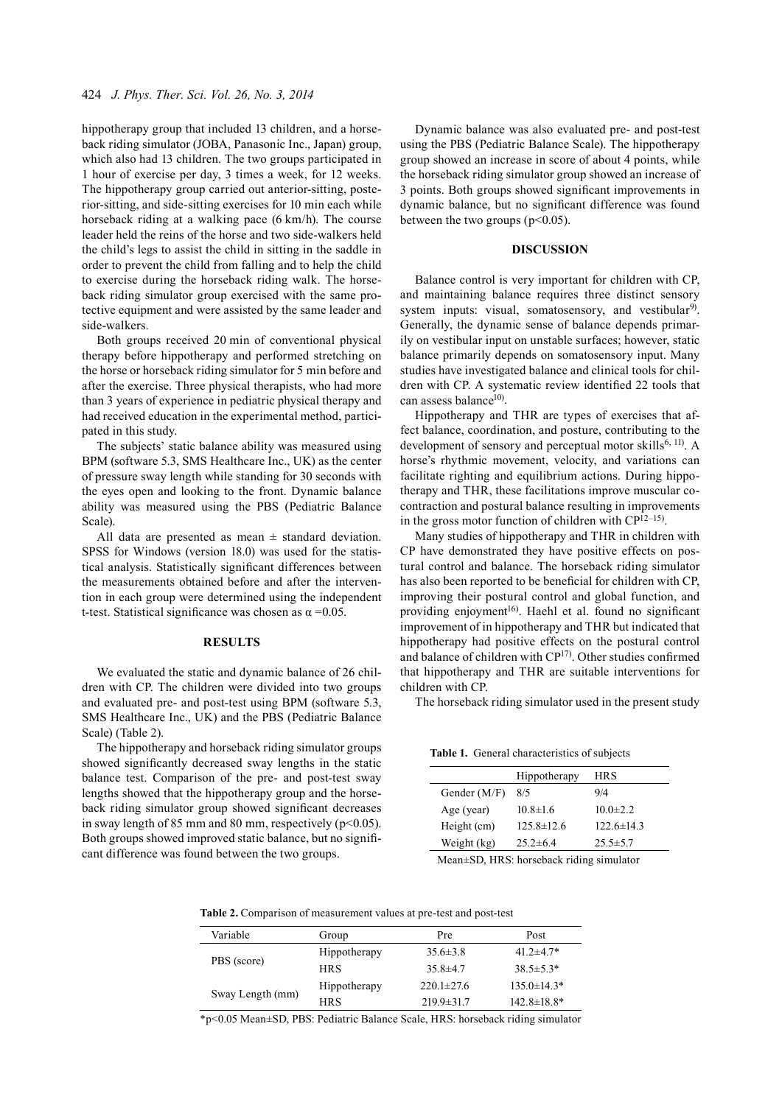hippotherapy group that included 13 children, and a horseback riding simulator (JOBA, Panasonic Inc., Japan) group, which also had 13 children. The two groups participated in 1 hour of exercise per day, 3 times a week, for 12 weeks. The hippotherapy group carried out anterior-sitting, posterior-sitting, and side-sitting exercises for 10 min each while horseback riding at a walking pace (6 km/h). The course leader held the reins of the horse and two side-walkers held the child's legs to assist the child in sitting in the saddle in order to prevent the child from falling and to help the child to exercise during the horseback riding walk. The horseback riding simulator group exercised with the same protective equipment and were assisted by the same leader and side-walkers.

Both groups received 20 min of conventional physical therapy before hippotherapy and performed stretching on the horse or horseback riding simulator for 5 min before and after the exercise. Three physical therapists, who had more than 3 years of experience in pediatric physical therapy and had received education in the experimental method, participated in this study.

The subjects' static balance ability was measured using BPM (software 5.3, SMS Healthcare Inc., UK) as the center of pressure sway length while standing for 30 seconds with the eyes open and looking to the front. Dynamic balance ability was measured using the PBS (Pediatric Balance Scale).

All data are presented as mean  $\pm$  standard deviation. SPSS for Windows (version 18.0) was used for the statistical analysis. Statistically significant differences between the measurements obtained before and after the intervention in each group were determined using the independent t-test. Statistical significance was chosen as  $\alpha = 0.05$ .

## **RESULTS**

We evaluated the static and dynamic balance of 26 children with CP. The children were divided into two groups and evaluated pre- and post-test using BPM (software 5.3, SMS Healthcare Inc., UK) and the PBS (Pediatric Balance Scale) (Table 2).

The hippotherapy and horseback riding simulator groups showed significantly decreased sway lengths in the static balance test. Comparison of the pre- and post-test sway lengths showed that the hippotherapy group and the horseback riding simulator group showed significant decreases in sway length of 85 mm and 80 mm, respectively ( $p$ <0.05). Both groups showed improved static balance, but no significant difference was found between the two groups.

Dynamic balance was also evaluated pre- and post-test using the PBS (Pediatric Balance Scale). The hippotherapy group showed an increase in score of about 4 points, while the horseback riding simulator group showed an increase of 3 points. Both groups showed significant improvements in dynamic balance, but no significant difference was found between the two groups ( $p<0.05$ ).

#### **DISCUSSION**

Balance control is very important for children with CP, and maintaining balance requires three distinct sensory system inputs: visual, somatosensory, and vestibular<sup>[9](#page-2-6))</sup>. Generally, the dynamic sense of balance depends primarily on vestibular input on unstable surfaces; however, static balance primarily depends on somatosensory input. Many studies have investigated balance and clinical tools for children with CP. A systematic review identified 22 tools that can assess balance<sup>10)</sup>.

Hippotherapy and THR are types of exercises that affect balance, coordination, and posture, contributing to the development of sensory and perceptual motor skills<sup>6, 11</sup>. A horse's rhythmic movement, velocity, and variations can facilitate righting and equilibrium actions. During hippotherapy and THR, these facilitations improve muscular cocontraction and postural balance resulting in improvements in the gross motor function of children with C[P12–15\)](#page-2-8) .

Many studies of hippotherapy and THR in children with CP have demonstrated they have positive effects on postural control and balance. The horseback riding simulator has also been reported to be beneficial for children with CP, improving their postural control and global function, and providing enjoyment<sup>16)</sup>. Haehl et al. found no significant improvement of in hippotherapy and THR but indicated that hippotherapy had positive effects on the postural control and balance of children with C[P17](#page-2-10)) . Other studies confirmed that hippotherapy and THR are suitable interventions for children with CP.

The horseback riding simulator used in the present study

**Table 1.** General characteristics of subjects

|              | Hippotherapy     | <b>HRS</b>       |
|--------------|------------------|------------------|
| Gender (M/F) | 8/5              | 9/4              |
| Age (year)   | $10.8 \pm 1.6$   | $10.0 \pm 2.2$   |
| Height (cm)  | $125.8 \pm 12.6$ | $122.6 \pm 14.3$ |
| Weight (kg)  | $25.2 \pm 6.4$   | $25.5 \pm 5.7$   |
|              |                  |                  |

Mean±SD, HRS: horseback riding simulator

**Table 2.** Comparison of measurement values at pre-test and post-test

| Variable         | Group        | Pre              | Post               |
|------------------|--------------|------------------|--------------------|
| PBS (score)      | Hippotherapy | $35.6 \pm 3.8$   | 41.2 $\pm$ 4.7*    |
|                  | <b>HRS</b>   | $35.8 \pm 4.7$   | $38.5 \pm 5.3*$    |
| Sway Length (mm) | Hippotherapy | $220.1 \pm 27.6$ | $135.0 \pm 14.3*$  |
|                  | <b>HRS</b>   | $219.9 \pm 31.7$ | $142.8 \pm 18.8^*$ |

\*p<0.05 Mean±SD, PBS: Pediatric Balance Scale, HRS: horseback riding simulator